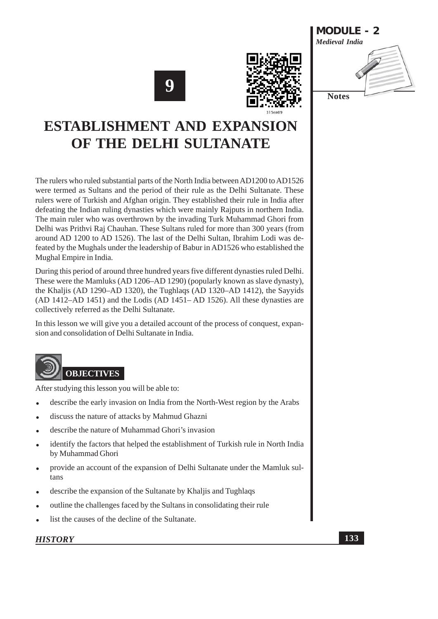





# **ESTABLISHMENT AND EXPANSION** OF THE DELHI SULTANATE

The rulers who ruled substantial parts of the North India between AD1200 to AD1526 were termed as Sultans and the period of their rule as the Delhi Sultanate. These rulers were of Turkish and Afghan origin. They established their rule in India after defeating the Indian ruling dynasties which were mainly Rajputs in northern India. The main ruler who was overthrown by the invading Turk Muhammad Ghori from Delhi was Prithvi Raj Chauhan. These Sultans ruled for more than 300 years (from around AD 1200 to AD 1526). The last of the Delhi Sultan, Ibrahim Lodi was defeated by the Mughals under the leadership of Babur in AD1526 who established the Mughal Empire in India.

During this period of around three hundred years five different dynasties ruled Delhi. These were the Mamluks (AD 1206–AD 1290) (popularly known as slave dynasty), the Khaliis (AD 1290–AD 1320), the Tughlags (AD 1320–AD 1412), the Sayyids (AD 1412-AD 1451) and the Lodis (AD 1451-AD 1526). All these dynasties are collectively referred as the Delhi Sultanate.

In this lesson we will give you a detailed account of the process of conquest, expansion and consolidation of Delhi Sultanate in India.

# **OBJECTIVES**

After studying this lesson you will be able to:

- describe the early invasion on India from the North-West region by the Arabs
- discuss the nature of attacks by Mahmud Ghazni
- describe the nature of Muhammad Ghori's invasion
- identify the factors that helped the establishment of Turkish rule in North India by Muhammad Ghori
- provide an account of the expansion of Delhi Sultanate under the Mamluk sultans
- describe the expansion of the Sultanate by Khaljis and Tughlaqs
- outline the challenges faced by the Sultans in consolidating their rule
- list the causes of the decline of the Sultanate.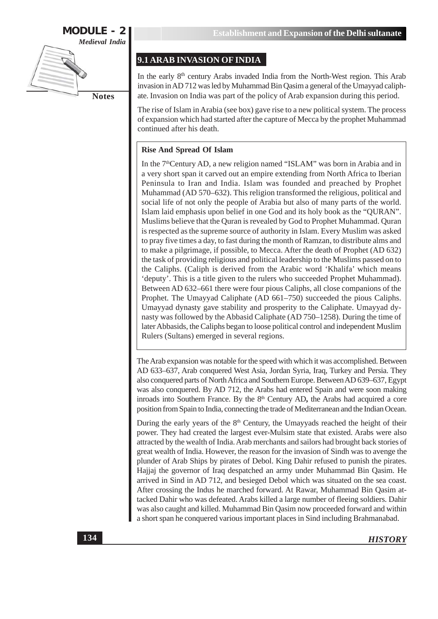

# 9.1 ARAB INVASION OF INDIA

In the early 8<sup>th</sup> century Arabs invaded India from the North-West region. This Arab invasion in AD 712 was led by Muhammad Bin Oasim a general of the Umayyad caliphate. Invasion on India was part of the policy of Arab expansion during this period.

The rise of Islam in Arabia (see box) gave rise to a new political system. The process of expansion which had started after the capture of Mecca by the prophet Muhammad continued after his death.

### **Rise And Spread Of Islam**

In the 7<sup>th</sup>Century AD, a new religion named "ISLAM" was born in Arabia and in a very short span it carved out an empire extending from North Africa to Iberian Peninsula to Iran and India. Islam was founded and preached by Prophet Muhammad (AD 570–632). This religion transformed the religious, political and social life of not only the people of Arabia but also of many parts of the world. Islam laid emphasis upon belief in one God and its holy book as the "QURAN". Muslims believe that the Quran is revealed by God to Prophet Muhammad. Quran is respected as the supreme source of authority in Islam. Every Muslim was asked to pray five times a day, to fast during the month of Ramzan, to distribute alms and to make a pilgrimage, if possible, to Mecca. After the death of Prophet (AD 632) the task of providing religious and political leadership to the Muslims passed on to the Caliphs. (Caliph is derived from the Arabic word 'Khalifa' which means 'deputy'. This is a title given to the rulers who succeeded Prophet Muhammad). Between AD 632–661 there were four pious Caliphs, all close companions of the Prophet. The Umayyad Caliphate (AD 661–750) succeeded the pious Caliphs. Umayyad dynasty gave stability and prosperity to the Caliphate. Umayyad dynasty was followed by the Abbasid Caliphate (AD 750-1258). During the time of later Abbasids, the Caliphs began to loose political control and independent Muslim Rulers (Sultans) emerged in several regions.

The Arab expansion was notable for the speed with which it was accomplished. Between AD 633–637, Arab conquered West Asia, Jordan Syria, Iraq, Turkey and Persia. They also conquered parts of North Africa and Southern Europe. Between AD 639-637, Egypt was also conquered. By AD 712, the Arabs had entered Spain and were soon making inroads into Southern France. By the 8<sup>th</sup> Century AD, the Arabs had acquired a core position from Spain to India, connecting the trade of Mediterranean and the Indian Ocean.

During the early years of the  $8<sup>th</sup>$  Century, the Umayyads reached the height of their power. They had created the largest ever-Mulsim state that existed. Arabs were also attracted by the wealth of India. Arab merchants and sailors had brought back stories of great wealth of India. However, the reason for the invasion of Sindh was to avenge the plunder of Arab Ships by pirates of Debol. King Dahir refused to punish the pirates. Hajjaj the governor of Iraq despatched an army under Muhammad Bin Qasim. He arrived in Sind in AD 712, and besieged Debol which was situated on the sea coast. After crossing the Indus he marched forward. At Rawar, Muhammad Bin Qasim attacked Dahir who was defeated. Arabs killed a large number of fleeing soldiers. Dahir was also caught and killed. Muhammad Bin Qasim now proceeded forward and within a short span he conquered various important places in Sind including Brahmanabad.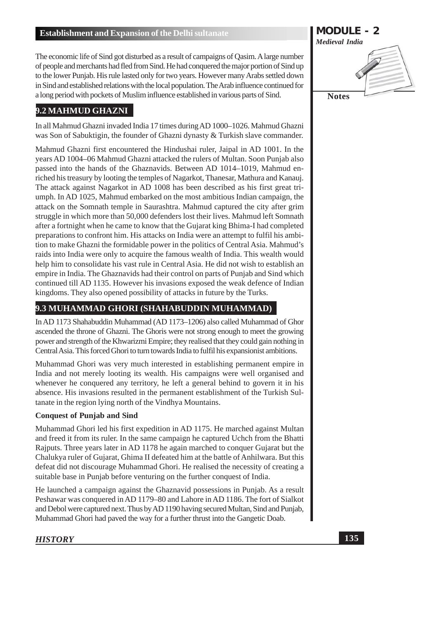The economic life of Sind got disturbed as a result of campaigns of Qasim. A large number of people and merchants had fled from Sind. He had conquered the major portion of Sind up to the lower Punjab. His rule lasted only for two years. However many Arabs settled down in Sind and established relations with the local population. The Arab influence continued for a long period with pockets of Muslim influence established in various parts of Sind.

### 9.2 MAHMUD GHAZNI

In all Mahmud Ghazni invaded India 17 times during AD 1000–1026. Mahmud Ghazni was Son of Sabuktigin, the founder of Ghazni dynasty & Turkish slave commander.

Mahmud Ghazni first encountered the Hindushai ruler, Jaipal in AD 1001. In the years AD 1004-06 Mahmud Ghazni attacked the rulers of Multan. Soon Punjab also passed into the hands of the Ghaznavids. Between AD 1014–1019, Mahmud enriched his treasury by looting the temples of Nagarkot, Thanesar, Mathura and Kanauj. The attack against Nagarkot in AD 1008 has been described as his first great triumph. In AD 1025, Mahmud embarked on the most ambitious Indian campaign, the attack on the Somnath temple in Saurashtra. Mahmud captured the city after grim struggle in which more than 50,000 defenders lost their lives. Mahmud left Somnath after a fortnight when he came to know that the Gujarat king Bhima-I had completed preparations to confront him. His attacks on India were an attempt to fulfil his ambition to make Ghazni the formidable power in the politics of Central Asia. Mahmud's raids into India were only to acquire the famous wealth of India. This wealth would help him to consolidate his vast rule in Central Asia. He did not wish to establish an empire in India. The Ghaznavids had their control on parts of Punjab and Sind which continued till AD 1135. However his invasions exposed the weak defence of Indian kingdoms. They also opened possibility of attacks in future by the Turks.

# 9.3 MUHAMMAD GHORI (SHAHABUDDIN MUHAMMAD)

In AD 1173 Shahabuddin Muhammad (AD 1173-1206) also called Muhammad of Ghor ascended the throne of Ghazni. The Ghoris were not strong enough to meet the growing power and strength of the Khwarizmi Empire; they realised that they could gain nothing in Central Asia. This forced Ghori to turn towards India to fulfil his expansionist ambitions.

Muhammad Ghori was very much interested in establishing permanent empire in India and not merely looting its wealth. His campaigns were well organised and whenever he conquered any territory, he left a general behind to govern it in his absence. His invasions resulted in the permanent establishment of the Turkish Sultanate in the region lying north of the Vindhya Mountains.

### **Conquest of Punjab and Sind**

Muhammad Ghori led his first expedition in AD 1175. He marched against Multan and freed it from its ruler. In the same campaign he captured Uchch from the Bhatti Rajputs. Three years later in AD 1178 he again marched to conquer Gujarat but the Chalukya ruler of Gujarat, Ghima II defeated him at the battle of Anhilwara. But this defeat did not discourage Muhammad Ghori. He realised the necessity of creating a suitable base in Punjab before venturing on the further conquest of India.

He launched a campaign against the Ghaznavid possessions in Punjab. As a result Peshawar was conquered in AD 1179–80 and Lahore in AD 1186. The fort of Sialkot and Debol were captured next. Thus by AD 1190 having secured Multan, Sind and Punjab, Muhammad Ghori had paved the way for a further thrust into the Gangetic Doab.

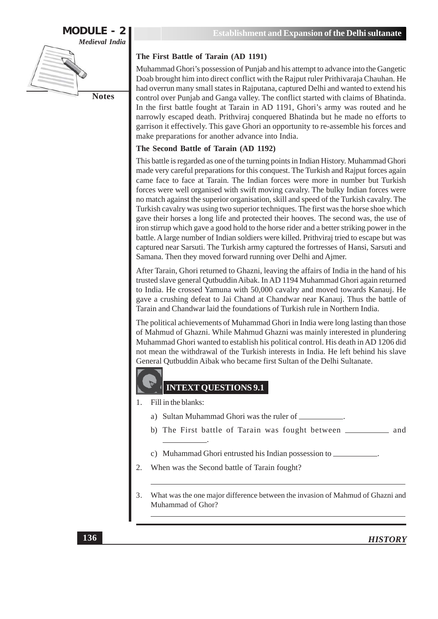### The First Battle of Tarain (AD 1191)

Muhammad Ghori's possession of Punjab and his attempt to advance into the Gangetic Doab brought him into direct conflict with the Rajput ruler Prithivaraja Chauhan. He had overrun many small states in Rajputana, captured Delhi and wanted to extend his control over Punjab and Ganga valley. The conflict started with claims of Bhatinda. In the first battle fought at Tarain in AD 1191, Ghori's army was routed and he narrowly escaped death. Prithviraj conquered Bhatinda but he made no efforts to garrison it effectively. This gave Ghori an opportunity to re-assemble his forces and make preparations for another advance into India.

### The Second Battle of Tarain (AD 1192)

This battle is regarded as one of the turning points in Indian History. Muhammad Ghori made very careful preparations for this conquest. The Turkish and Rajput forces again came face to face at Tarain. The Indian forces were more in number but Turkish forces were well organised with swift moving cavalry. The bulky Indian forces were no match against the superior organisation, skill and speed of the Turkish cavalry. The Turkish cavalry was using two superior techniques. The first was the horse shoe which gave their horses a long life and protected their hooves. The second was, the use of iron stirrup which gave a good hold to the horse rider and a better striking power in the battle. A large number of Indian soldiers were killed. Prithviraj tried to escape but was captured near Sarsuti. The Turkish army captured the fortresses of Hansi, Sarsuti and Samana. Then they moved forward running over Delhi and Ajmer.

After Tarain, Ghori returned to Ghazni, leaving the affairs of India in the hand of his trusted slave general Outbuddin Aibak. In AD 1194 Muhammad Ghori again returned to India. He crossed Yamuna with 50,000 cavalry and moved towards Kanauj. He gave a crushing defeat to Jai Chand at Chandwar near Kanauj. Thus the battle of Tarain and Chandwar laid the foundations of Turkish rule in Northern India.

The political achievements of Muhammad Ghori in India were long lasting than those of Mahmud of Ghazni. While Mahmud Ghazni was mainly interested in plundering Muhammad Ghori wanted to establish his political control. His death in AD 1206 did not mean the withdrawal of the Turkish interests in India. He left behind his slave General Outbuddin Aibak who became first Sultan of the Delhi Sultanate.

# **INTEXT QUESTIONS 9.1**

- $1.$ Fill in the blanks:
	- a) Sultan Muhammad Ghori was the ruler of \_\_\_\_\_\_\_\_\_\_\_\_.
	-
	- c) Muhammad Ghori entrusted his Indian possession to \_
- 2. When was the Second battle of Tarain fought?
- 3. What was the one major difference between the invasion of Mahmud of Ghazni and Muhammad of Ghor?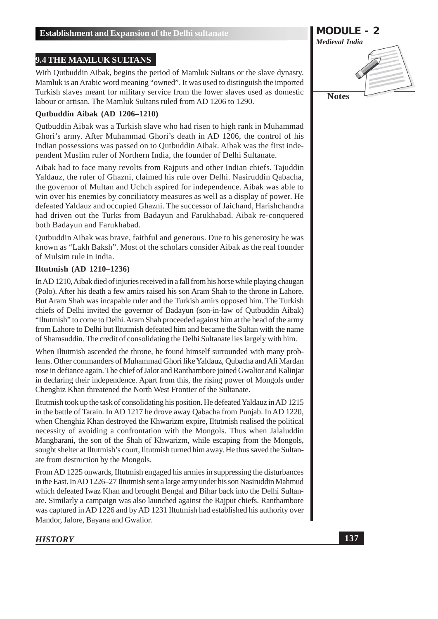### 9.4 THE MAMLUK SULTANS

With Qutbuddin Aibak, begins the period of Mamluk Sultans or the slave dynasty. Mamluk is an Arabic word meaning "owned". It was used to distinguish the imported Turkish slaves meant for military service from the lower slaves used as domestic labour or artisan. The Mamluk Sultans ruled from AD 1206 to 1290.

### Qutbuddin Aibak (AD 1206-1210)

Qutbuddin Aibak was a Turkish slave who had risen to high rank in Muhammad Ghori's army. After Muhammad Ghori's death in AD 1206, the control of his Indian possessions was passed on to Qutbuddin Aibak. Aibak was the first independent Muslim ruler of Northern India, the founder of Delhi Sultanate.

Aibak had to face many revolts from Rajputs and other Indian chiefs. Tajuddin Yaldauz, the ruler of Ghazni, claimed his rule over Delhi. Nasiruddin Qabacha, the governor of Multan and Uchch aspired for independence. Aibak was able to win over his enemies by conciliatory measures as well as a display of power. He defeated Yaldauz and occupied Ghazni. The successor of Jaichand, Harishchandra had driven out the Turks from Badayun and Farukhabad. Aibak re-conquered both Badayun and Farukhabad.

Outbuddin Aibak was brave, faithful and generous. Due to his generosity he was known as "Lakh Baksh". Most of the scholars consider Aibak as the real founder of Mulsim rule in India.

### Iltutmish (AD 1210-1236)

In AD 1210, Aibak died of injuries received in a fall from his horse while playing chaugan (Polo). After his death a few amirs raised his son Aram Shah to the throne in Lahore. But Aram Shah was incapable ruler and the Turkish amirs opposed him. The Turkish chiefs of Delhi invited the governor of Badayun (son-in-law of Outbuddin Aibak) "Iltutmish" to come to Delhi. Aram Shah proceeded against him at the head of the army from Lahore to Delhi but Iltutmish defeated him and became the Sultan with the name of Shamsuddin. The credit of consolidating the Delhi Sultanate lies largely with him.

When Iltutmish ascended the throne, he found himself surrounded with many problems. Other commanders of Muhammad Ghori like Yaldauz, Oubacha and Ali Mardan rose in defiance again. The chief of Jalor and Ranthambore joined Gwalior and Kalinjar in declaring their independence. Apart from this, the rising power of Mongols under Chenghiz Khan threatened the North West Frontier of the Sultanate.

Iltutmish took up the task of consolidating his position. He defeated Yaldauz in AD 1215 in the battle of Tarain. In AD 1217 he drove away Qabacha from Punjab. In AD 1220, when Chenghiz Khan destroyed the Khwarizm expire, Iltutmish realised the political necessity of avoiding a confrontation with the Mongols. Thus when Jalaluddin Mangbarani, the son of the Shah of Khwarizm, while escaping from the Mongols, sought shelter at Iltutmish's court, Iltutmish turned him away. He thus saved the Sultanate from destruction by the Mongols.

From AD 1225 onwards. Illumish engaged his armies in suppressing the disturbances in the East. In AD 1226-27 Iltutmish sent a large army under his son Nasiruddin Mahmud which defeated Iwaz Khan and brought Bengal and Bihar back into the Delhi Sultanate. Similarly a campaign was also launched against the Raiput chiefs. Ranthambore was captured in AD 1226 and by AD 1231 Iltutmish had established his authority over Mandor, Jalore, Bayana and Gwalior.

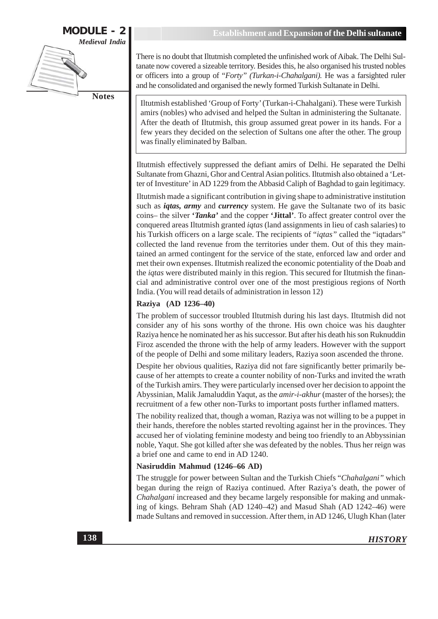**MODULE - 2** Medieval India **Notes** 

There is no doubt that Iltutmish completed the unfinished work of Aibak. The Delhi Sultanate now covered a sizeable territory. Besides this, he also organised his trusted nobles or officers into a group of "Forty" (Turkan-i-Chahalgani). He was a farsighted ruler and he consolidated and organised the newly formed Turkish Sultanate in Delhi.

Iltutmish established 'Group of Forty' (Turkan-i-Chahalgani). These were Turkish amirs (nobles) who advised and helped the Sultan in administering the Sultanate. After the death of Iltutmish, this group assumed great power in its hands. For a few years they decided on the selection of Sultans one after the other. The group was finally eliminated by Balban.

Iltutmish effectively suppressed the defiant amirs of Delhi. He separated the Delhi Sultanate from Ghazni, Ghor and Central Asian politics. Iltutmish also obtained a 'Letter of Investiture' in AD 1229 from the Abbasid Caliph of Baghdad to gain legitimacy.

Iltutmish made a significant contribution in giving shape to administrative institution such as *igtas, army* and *currency* system. He gave the Sultanate two of its basic coins- the silver '*Tanka*' and the copper '**Jittal**'. To affect greater control over the conquered areas Iltutmish granted *iqtas* (land assignments in lieu of cash salaries) to his Turkish officers on a large scale. The recipients of "iqtas" called the "iqtadars" collected the land revenue from the territories under them. Out of this they maintained an armed contingent for the service of the state, enforced law and order and met their own expenses. Iltutmish realized the economic potentiality of the Doab and the *igtas* were distributed mainly in this region. This secured for Iltutmish the financial and administrative control over one of the most prestigious regions of North India. (You will read details of administration in lesson 12)

### Raziya (AD 1236-40)

The problem of successor troubled Iltutmish during his last days. Iltutmish did not consider any of his sons worthy of the throne. His own choice was his daughter Raziya hence he nominated her as his successor. But after his death his son Ruknuddin Firoz ascended the throne with the help of army leaders. However with the support of the people of Delhi and some military leaders, Raziya soon ascended the throne.

Despite her obvious qualities, Raziya did not fare significantly better primarily because of her attempts to create a counter nobility of non-Turks and invited the wrath of the Turkish amirs. They were particularly incensed over her decision to appoint the Abyssinian, Malik Jamaluddin Yaqut, as the *amir-i-akhur* (master of the horses); the recruitment of a few other non-Turks to important posts further inflamed matters.

The nobility realized that, though a woman, Raziya was not willing to be a puppet in their hands, therefore the nobles started revolting against her in the provinces. They accused her of violating feminine modesty and being too friendly to an Abbyssinian noble, Yaqut. She got killed after she was defeated by the nobles. Thus her reign was a brief one and came to end in AD 1240.

### Nasiruddin Mahmud (1246-66 AD)

The struggle for power between Sultan and the Turkish Chiefs "Chahalgani" which began during the reign of Raziya continued. After Raziya's death, the power of Chahalgani increased and they became largely responsible for making and unmaking of kings. Behram Shah (AD 1240-42) and Masud Shah (AD 1242-46) were made Sultans and removed in succession. After them, in AD 1246, Ulugh Khan (later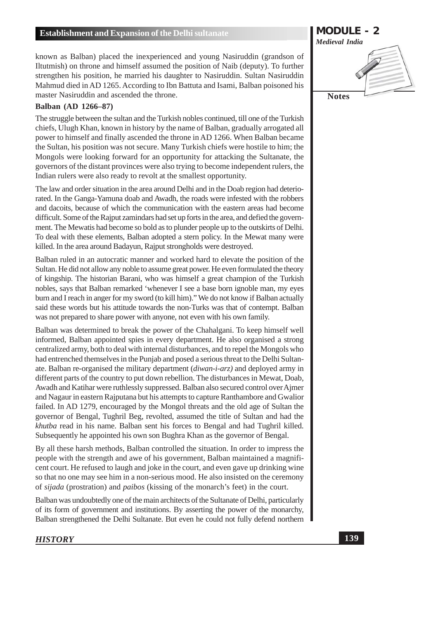known as Balban) placed the inexperienced and young Nasiruddin (grandson of Iltutmish) on throne and himself assumed the position of Naib (deputy). To further strengthen his position, he married his daughter to Nasiruddin. Sultan Nasiruddin Mahmud died in AD 1265. According to Ibn Battuta and Isami, Balban poisoned his master Nasiruddin and ascended the throne.

### **Balban (AD 1266-87)**

The struggle between the sultan and the Turkish nobles continued, till one of the Turkish chiefs, Ulugh Khan, known in history by the name of Balban, gradually arrogated all power to himself and finally ascended the throne in AD 1266. When Balban became the Sultan, his position was not secure. Many Turkish chiefs were hostile to him; the Mongols were looking forward for an opportunity for attacking the Sultanate, the governors of the distant provinces were also trying to become independent rulers, the Indian rulers were also ready to revolt at the smallest opportunity.

The law and order situation in the area around Delhi and in the Doab region had deteriorated. In the Ganga-Yamuna doab and Awadh, the roads were infested with the robbers and dacoits, because of which the communication with the eastern areas had become difficult. Some of the Rajput zamindars had set up forts in the area, and defied the government. The Mewatis had become so bold as to plunder people up to the outskirts of Delhi. To deal with these elements, Balban adopted a stern policy. In the Mewat many were killed. In the area around Badayun, Rajput strongholds were destroyed.

Balban ruled in an autocratic manner and worked hard to elevate the position of the Sultan. He did not allow any noble to assume great power. He even formulated the theory of kingship. The historian Barani, who was himself a great champion of the Turkish nobles, says that Balban remarked 'whenever I see a base born ignoble man, my eyes burn and I reach in anger for my sword (to kill him)." We do not know if Balban actually said these words but his attitude towards the non-Turks was that of contempt. Balban was not prepared to share power with anyone, not even with his own family.

Balban was determined to break the power of the Chahalgani. To keep himself well informed, Balban appointed spies in every department. He also organised a strong centralized army, both to deal with internal disturbances, and to repel the Mongols who had entrenched themselves in the Punjab and posed a serious threat to the Delhi Sultanate. Balban re-organised the military department (*diwan-i-arz*) and deployed army in different parts of the country to put down rebellion. The disturbances in Mewat, Doab, Awadh and Katihar were ruthlessly suppressed. Balban also secured control over Ajmer and Nagaur in eastern Rajputana but his attempts to capture Ranthambore and Gwalior failed. In AD 1279, encouraged by the Mongol threats and the old age of Sultan the governor of Bengal, Tughril Beg, revolted, assumed the title of Sultan and had the khutba read in his name. Balban sent his forces to Bengal and had Tughril killed. Subsequently he appointed his own son Bughra Khan as the governor of Bengal.

By all these harsh methods, Balban controlled the situation. In order to impress the people with the strength and awe of his government, Balban maintained a magnificent court. He refused to laugh and joke in the court, and even gave up drinking wine so that no one may see him in a non-serious mood. He also insisted on the ceremony of *sijada* (prostration) and *paibos* (kissing of the monarch's feet) in the court.

Balban was undoubtedly one of the main architects of the Sultanate of Delhi, particularly of its form of government and institutions. By asserting the power of the monarchy, Balban strengthened the Delhi Sultanate. But even he could not fully defend northern

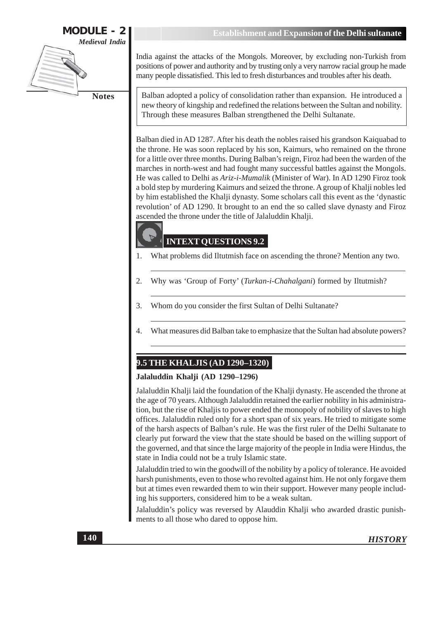**MODULE - 2 Medieval India** 

**Notes** 

India against the attacks of the Mongols. Moreover, by excluding non-Turkish from positions of power and authority and by trusting only a very narrow racial group he made many people dissatisfied. This led to fresh disturbances and troubles after his death.

Balban adopted a policy of consolidation rather than expansion. He introduced a new theory of kingship and redefined the relations between the Sultan and nobility. Through these measures Balban strengthened the Delhi Sultanate.

Balban died in AD 1287. After his death the nobles raised his grandson Kaiquabad to the throne. He was soon replaced by his son, Kaimurs, who remained on the throne for a little over three months. During Balban's reign, Firoz had been the warden of the marches in north-west and had fought many successful battles against the Mongols. He was called to Delhi as Ariz-i-Mumalik (Minister of War). In AD 1290 Firoz took a bold step by murdering Kaimurs and seized the throne. A group of Khalji nobles led by him established the Khalji dynasty. Some scholars call this event as the 'dynastic revolution' of AD 1290. It brought to an end the so called slave dynasty and Firoz ascended the throne under the title of Jalaluddin Khalji.

# **INTEXT QUESTIONS 9.2**

- 1. What problems did Iltutmish face on ascending the throne? Mention any two.
- $\overline{2}$ . Why was 'Group of Forty' (Turkan-i-Chahalgani) formed by Iltutmish?
- Whom do you consider the first Sultan of Delhi Sultanate? 3.
- $\overline{4}$ . What measures did Balban take to emphasize that the Sultan had absolute powers?

# 9.5 THE KHALJIS (AD 1290-1320)

### Jalaluddin Khalji (AD 1290-1296)

Jalaluddin Khalji laid the foundation of the Khalji dynasty. He ascended the throne at the age of 70 years. Although Jalaluddin retained the earlier nobility in his administration, but the rise of Khaljis to power ended the monopoly of nobility of slaves to high offices. Jalaluddin ruled only for a short span of six years. He tried to mitigate some of the harsh aspects of Balban's rule. He was the first ruler of the Delhi Sultanate to clearly put forward the view that the state should be based on the willing support of the governed, and that since the large majority of the people in India were Hindus, the state in India could not be a truly Islamic state.

Jalaluddin tried to win the goodwill of the nobility by a policy of tolerance. He avoided harsh punishments, even to those who revolted against him. He not only for gave them but at times even rewarded them to win their support. However many people including his supporters, considered him to be a weak sultan.

Jalaluddin's policy was reversed by Alauddin Khalji who awarded drastic punishments to all those who dared to oppose him.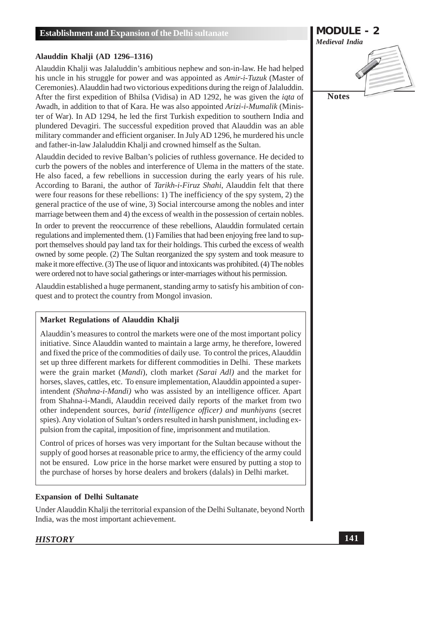### Alauddin Khalji (AD 1296-1316)

Alauddin Khalji was Jalaluddin's ambitious nephew and son-in-law. He had helped his uncle in his struggle for power and was appointed as *Amir-i-Tuzuk* (Master of Ceremonies). Alauddin had two victorious expeditions during the reign of Jalaluddin. After the first expedition of Bhilsa (Vidisa) in AD 1292, he was given the *igta* of Awadh, in addition to that of Kara. He was also appointed Arizi-i-Mumalik (Minister of War). In AD 1294, he led the first Turkish expedition to southern India and plundered Devagiri. The successful expedition proved that Alauddin was an able military commander and efficient organiser. In July AD 1296, he murdered his uncle and father-in-law Jalaluddin Khalji and crowned himself as the Sultan.

Alauddin decided to revive Balban's policies of ruthless governance. He decided to curb the powers of the nobles and interference of Ulema in the matters of the state. He also faced, a few rebellions in succession during the early years of his rule. According to Barani, the author of *Tarikh-i-Firuz Shahi*, Alauddin felt that there were four reasons for these rebellions: 1) The inefficiency of the spy system, 2) the general practice of the use of wine, 3) Social intercourse among the nobles and inter marriage between them and 4) the excess of wealth in the possession of certain nobles. In order to prevent the reoccurrence of these rebellions, Alauddin formulated certain regulations and implemented them. (1) Families that had been enjoying free land to sup-

port themselves should pay land tax for their holdings. This curbed the excess of wealth owned by some people. (2) The Sultan reorganized the spy system and took measure to make it more effective. (3) The use of liquor and intoxicants was prohibited. (4) The nobles were ordered not to have social gatherings or inter-marriages without his permission.

Alauddin established a huge permanent, standing army to satisfy his ambition of conquest and to protect the country from Mongol invasion.

### Market Regulations of Alauddin Khalji

Alauddin's measures to control the markets were one of the most important policy initiative. Since Alauddin wanted to maintain a large army, he therefore, lowered and fixed the price of the commodities of daily use. To control the prices, Alauddin set up three different markets for different commodities in Delhi. These markets were the grain market (*Mandi*), cloth market (*Sarai Adl*) and the market for horses, slaves, cattles, etc. To ensure implementation, Alauddin appointed a superintendent (Shahna-i-Mandi) who was assisted by an intelligence officer. Apart from Shahna-i-Mandi, Alauddin received daily reports of the market from two other independent sources, *barid (intelligence officer)* and munhivans (secret spies). Any violation of Sultan's orders resulted in harsh punishment, including expulsion from the capital, imposition of fine, imprisonment and mutilation.

Control of prices of horses was very important for the Sultan because without the supply of good horses at reasonable price to army, the efficiency of the army could not be ensured. Low price in the horse market were ensured by putting a stop to the purchase of horses by horse dealers and brokers (dalals) in Delhi market.

### **Expansion of Delhi Sultanate**

Under Alauddin Khalji the territorial expansion of the Delhi Sultanate, beyond North India, was the most important achievement.

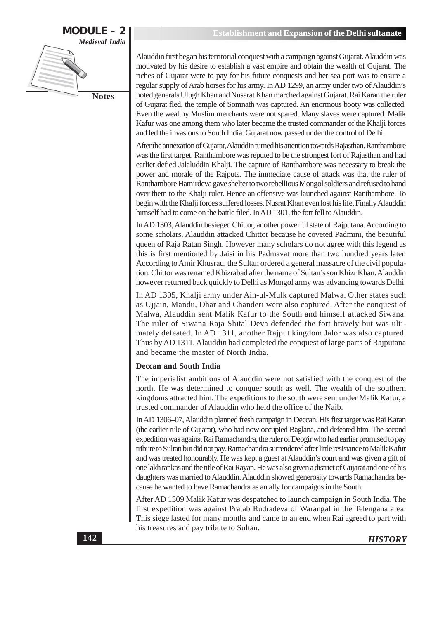

Alauddin first began his territorial conquest with a campaign against Gujarat. Alauddin was motivated by his desire to establish a vast empire and obtain the wealth of Gujarat. The riches of Gujarat were to pay for his future conquests and her sea port was to ensure a regular supply of Arab horses for his army. In AD 1299, an army under two of Alauddin's noted generals Ulugh Khan and Nusarat Khan marched against Gujarat. Rai Karan the ruler of Gujarat fled, the temple of Somnath was captured. An enormous booty was collected. Even the wealthy Muslim merchants were not spared. Many slaves were captured. Malik Kafur was one among them who later became the trusted commander of the Khalji forces and led the invasions to South India. Gujarat now passed under the control of Delhi.

After the annexation of Gujarat, Alauddin turned his attention towards Rajasthan. Ranthambore was the first target. Ranthambore was reputed to be the strongest fort of Rajasthan and had earlier defied Jalaluddin Khalji. The capture of Ranthambore was necessary to break the power and morale of the Rajputs. The immediate cause of attack was that the ruler of Ranthambore Hamirdeva gave shelter to two rebellious Mongol soldiers and refused to hand over them to the Khalii ruler. Hence an offensive was launched against Ranthambore. To begin with the Khalji forces suffered losses. Nusrat Khan even lost his life. Finally Alauddin himself had to come on the battle filed. In AD 1301, the fort fell to Alauddin.

In AD 1303, Alauddin besieged Chittor, another powerful state of Rajputana. According to some scholars, Alauddin attacked Chittor because he coveted Padmini, the beautiful queen of Raja Ratan Singh. However many scholars do not agree with this legend as this is first mentioned by Jaisi in his Padmavat more than two hundred years later. According to Amir Khusrau, the Sultan ordered a general massacre of the civil population. Chittor was renamed Khizrabad after the name of Sultan's son Khizr Khan. Alauddin however returned back quickly to Delhi as Mongol army was advancing towards Delhi.

In AD 1305, Khalji army under Ain-ul-Mulk captured Malwa. Other states such as Ujjain, Mandu, Dhar and Chanderi were also captured. After the conquest of Malwa, Alauddin sent Malik Kafur to the South and himself attacked Siwana. The ruler of Siwana Raja Shital Deva defended the fort bravely but was ultimately defeated. In AD 1311, another Rajput kingdom Jalor was also captured. Thus by AD 1311, Alauddin had completed the conquest of large parts of Rajputana and became the master of North India.

### **Deccan and South India**

The imperialist ambitions of Alauddin were not satisfied with the conquest of the north. He was determined to conquer south as well. The wealth of the southern kingdoms attracted him. The expeditions to the south were sent under Malik Kafur, a trusted commander of Alauddin who held the office of the Naib.

In AD 1306–07, Alauddin planned fresh campaign in Deccan. His first target was Rai Karan (the earlier rule of Gujarat), who had now occupied Baglana, and defeated him. The second expedition was against Rai Ramachandra, the ruler of Deogir who had earlier promised to pay tribute to Sultan but did not pay. Ramachandra surrendered after little resistance to Malik Kafur and was treated honourably. He was kept a guest at Alauddin's court and was given a gift of one lakh tankas and the title of Rai Rayan. He was also given a district of Gujarat and one of his daughters was married to Alauddin. Alauddin showed generosity towards Ramachandra because he wanted to have Ramachandra as an ally for campaigns in the South.

After AD 1309 Malik Kafur was despatched to launch campaign in South India. The first expedition was against Pratab Rudradeva of Warangal in the Telengana area. This siege lasted for many months and came to an end when Rai agreed to part with his treasures and pay tribute to Sultan.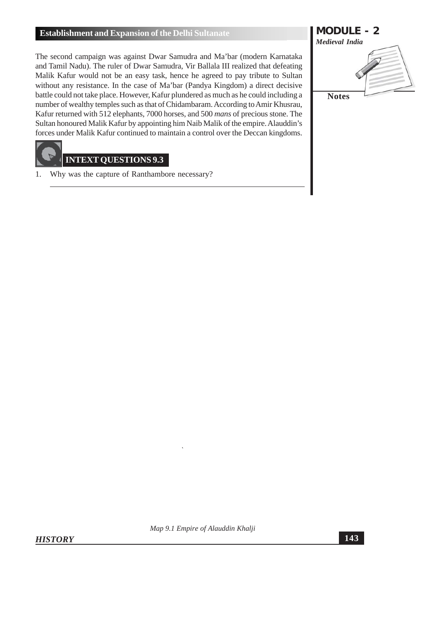The second campaign was against Dwar Samudra and Ma'bar (modern Karnataka and Tamil Nadu). The ruler of Dwar Samudra, Vir Ballala III realized that defeating Malik Kafur would not be an easy task, hence he agreed to pay tribute to Sultan without any resistance. In the case of Ma'bar (Pandya Kingdom) a direct decisive battle could not take place. However, Kafur plundered as much as he could including a number of wealthy temples such as that of Chidambaram. According to Amir Khusrau, Kafur returned with 512 elephants, 7000 horses, and 500 mans of precious stone. The Sultan honoured Malik Kafur by appointing him Naib Malik of the empire. Alauddin's forces under Malik Kafur continued to maintain a control over the Deccan kingdoms.

# **INTEXT OUESTIONS 9.3**

Why was the capture of Ranthambore necessary? 1.



**HISTORY** 

Map 9.1 Empire of Alauddin Khalji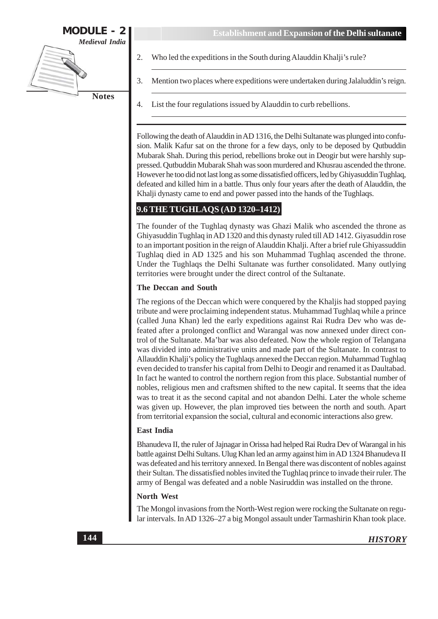

- 2. Who led the expeditions in the South during Alauddin Khalji's rule?
	- Mention two places where expeditions were undertaken during Jalaluddin's reign.
- 4. List the four regulations issued by Alauddin to curb rebellions.

Following the death of Alauddin in AD 1316, the Delhi Sultanate was plunged into confusion. Malik Kafur sat on the throne for a few days, only to be deposed by Qutbuddin Mubarak Shah. During this period, rebellions broke out in Deogir but were harshly suppressed. Qutbuddin Mubarak Shah was soon murdered and Khusrau ascended the throne. However he too did not last long as some dissatisfied officers, led by Ghiyasuddin Tughlaq, defeated and killed him in a battle. Thus only four years after the death of Alauddin, the Khalji dynasty came to end and power passed into the hands of the Tughlaqs.

### 9.6 THE TUGHLAQS (AD 1320-1412)

The founder of the Tughlaq dynasty was Ghazi Malik who ascended the throne as Ghiyasuddin Tughlaq in AD 1320 and this dynasty ruled till AD 1412. Giyasuddin rose to an important position in the reign of Alauddin Khalji. After a brief rule Ghiyassuddin Tughlaq died in AD 1325 and his son Muhammad Tughlaq ascended the throne. Under the Tughlaqs the Delhi Sultanate was further consolidated. Many outlying territories were brought under the direct control of the Sultanate.

### **The Deccan and South**

The regions of the Deccan which were conquered by the Khaljis had stopped paying tribute and were proclaiming independent status. Muhammad Tughlaq while a prince (called Juna Khan) led the early expeditions against Rai Rudra Dev who was defeated after a prolonged conflict and Warangal was now annexed under direct control of the Sultanate. Ma'bar was also defeated. Now the whole region of Telangana was divided into administrative units and made part of the Sultanate. In contrast to Allauddin Khalji's policy the Tughlaqs annexed the Deccan region. Muhammad Tughlaq even decided to transfer his capital from Delhi to Deogir and renamed it as Daultabad. In fact he wanted to control the northern region from this place. Substantial number of nobles, religious men and craftsmen shifted to the new capital. It seems that the idea was to treat it as the second capital and not abandon Delhi. Later the whole scheme was given up. However, the plan improved ties between the north and south. Apart from territorial expansion the social, cultural and economic interactions also grew.

#### **East India**

Bhanudeva II, the ruler of Jajnagar in Orissa had helped Rai Rudra Dev of Warangal in his battle against Delhi Sultans. Ulug Khan led an army against him in AD 1324 Bhanudeva II was defeated and his territory annexed. In Bengal there was discontent of nobles against their Sultan. The dissatisfied nobles invited the Tughlaq prince to invade their ruler. The army of Bengal was defeated and a noble Nasiruddin was installed on the throne.

### North West

The Mongol invasions from the North-West region were rocking the Sultanate on regular intervals. In AD 1326–27 a big Mongol assault under Tarmashirin Khan took place.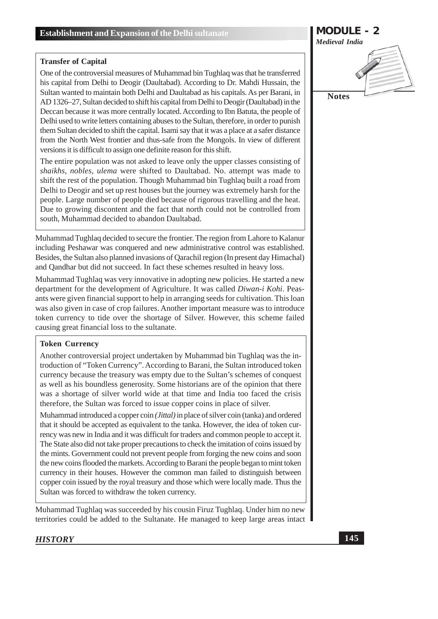### **Transfer of Capital**

One of the controversial measures of Muhammad bin Tughlaq was that he transferred his capital from Delhi to Deogir (Daultabad). According to Dr. Mahdi Hussain, the Sultan wanted to maintain both Delhi and Daultabad as his capitals. As per Barani, in AD 1326–27, Sultan decided to shift his capital from Delhi to Deogir (Daultabad) in the Deccan because it was more centrally located. According to Ibn Batuta, the people of Delhi used to write letters containing abuses to the Sultan, therefore, in order to punish them Sultan decided to shift the capital. Isami say that it was a place at a safer distance from the North West frontier and thus-safe from the Mongols. In view of different versions it is difficult to assign one definite reason for this shift.

The entire population was not asked to leave only the upper classes consisting of shaikhs, nobles, ulema were shifted to Daultabad. No. attempt was made to shift the rest of the population. Though Muhammad bin Tughlaq built a road from Delhi to Deogir and set up rest houses but the journey was extremely harsh for the people. Large number of people died because of rigorous travelling and the heat. Due to growing discontent and the fact that north could not be controlled from south, Muhammad decided to abandon Daultabad.

Muhammad Tughlaq decided to secure the frontier. The region from Lahore to Kalanur including Peshawar was conquered and new administrative control was established. Besides, the Sultan also planned invasions of Oarachil region (In present day Himachal) and Qandhar but did not succeed. In fact these schemes resulted in heavy loss.

Muhammad Tughlaq was very innovative in adopting new policies. He started a new department for the development of Agriculture. It was called Diwan-i Kohi. Peasants were given financial support to help in arranging seeds for cultivation. This loan was also given in case of crop failures. Another important measure was to introduce token currency to tide over the shortage of Silver. However, this scheme failed causing great financial loss to the sultanate.

### **Token Currency**

Another controversial project undertaken by Muhammad bin Tughlaq was the introduction of "Token Currency". According to Barani, the Sultan introduced token currency because the treasury was empty due to the Sultan's schemes of conquest as well as his boundless generosity. Some historians are of the opinion that there was a shortage of silver world wide at that time and India too faced the crisis therefore, the Sultan was forced to issue copper coins in place of silver.

Muhammad introduced a copper coin (*Jittal*) in place of silver coin (tanka) and ordered that it should be accepted as equivalent to the tanka. However, the idea of token currency was new in India and it was difficult for traders and common people to accept it. The State also did not take proper precautions to check the imitation of coins issued by the mints. Government could not prevent people from forging the new coins and soon the new coins flooded the markets. According to Barani the people began to mint token currency in their houses. However the common man failed to distinguish between copper coin issued by the royal treasury and those which were locally made. Thus the Sultan was forced to withdraw the token currency.

Muhammad Tughlaq was succeeded by his cousin Firuz Tughlaq. Under him no new territories could be added to the Sultanate. He managed to keep large areas intact

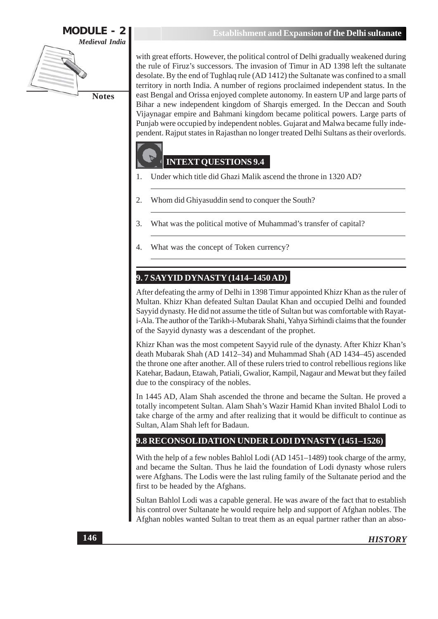**Notes** 

**Establishment and Expansion of the Delhi sultanate** 

with great efforts. However, the political control of Delhi gradually weakened during the rule of Firuz's successors. The invasion of Timur in AD 1398 left the sultanate desolate. By the end of Tughlaq rule (AD 1412) the Sultanate was confined to a small territory in north India. A number of regions proclaimed independent status. In the east Bengal and Orissa enjoyed complete autonomy. In eastern UP and large parts of Bihar a new independent kingdom of Sharqis emerged. In the Deccan and South Vijaynagar empire and Bahmani kingdom became political powers. Large parts of Punjab were occupied by independent nobles. Gujarat and Malwa became fully independent. Rajput states in Rajasthan no longer treated Delhi Sultans as their overlords.

# **INTEXT OUESTIONS 9.4**

- Under which title did Ghazi Malik ascend the throne in 1320 AD? 1.
- $\overline{2}$ . Whom did Ghiyasuddin send to conquer the South?
- $\overline{3}$ . What was the political motive of Muhammad's transfer of capital?
- What was the concept of Token currency?  $\overline{4}$ .

# 9.7 SAYYID DYNASTY (1414–1450 AD)

After defeating the army of Delhi in 1398 Timur appointed Khizr Khan as the ruler of Multan. Khizr Khan defeated Sultan Daulat Khan and occupied Delhi and founded Sayyid dynasty. He did not assume the title of Sultan but was comfortable with Rayati-Ala. The author of the Tarikh-i-Mubarak Shahi, Yahya Sirhindi claims that the founder of the Sayyid dynasty was a descendant of the prophet.

Khizr Khan was the most competent Sayyid rule of the dynasty. After Khizr Khan's death Mubarak Shah (AD 1412-34) and Muhammad Shah (AD 1434-45) ascended the throne one after another. All of these rulers tried to control rebellious regions like Katehar, Badaun, Etawah, Patiali, Gwalior, Kampil, Nagaur and Mewat but they failed due to the conspiracy of the nobles.

In 1445 AD, Alam Shah ascended the throne and became the Sultan. He proved a totally incompetent Sultan. Alam Shah's Wazir Hamid Khan invited Bhalol Lodi to take charge of the army and after realizing that it would be difficult to continue as Sultan, Alam Shah left for Badaun.

# 9.8 RECONSOLIDATION UNDER LODI DYNASTY (1451-1526)

With the help of a few nobles Bahlol Lodi (AD 1451–1489) took charge of the army. and became the Sultan. Thus he laid the foundation of Lodi dynasty whose rulers were Afghans. The Lodis were the last ruling family of the Sultanate period and the first to be headed by the Afghans.

Sultan Bahlol Lodi was a capable general. He was aware of the fact that to establish his control over Sultanate he would require help and support of Afghan nobles. The Afghan nobles wanted Sultan to treat them as an equal partner rather than an abso-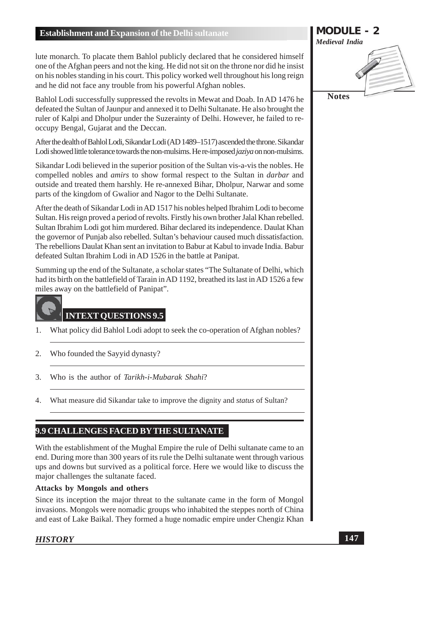lute monarch. To placate them Bahlol publicly declared that he considered himself one of the Afghan peers and not the king. He did not sit on the throne nor did he insist on his nobles standing in his court. This policy worked well throughout his long reign and he did not face any trouble from his powerful Afghan nobles.

Bahlol Lodi successfully suppressed the revolts in Mewat and Doab. In AD 1476 he defeated the Sultan of Jaunpur and annexed it to Delhi Sultanate. He also brought the ruler of Kalpi and Dholpur under the Suzerainty of Delhi. However, he failed to reoccupy Bengal, Gujarat and the Deccan.

After the dealth of Bahlol Lodi, Sikandar Lodi (AD 1489-1517) ascended the throne. Sikandar Lodi showed little tolerance towards the non-mulsims. He re-imposed *jaziya* on non-mulsims.

Sikandar Lodi believed in the superior position of the Sultan vis-a-vis the nobles. He compelled nobles and *amirs* to show formal respect to the Sultan in *darbar* and outside and treated them harshly. He re-annexed Bihar, Dholpur, Narwar and some parts of the kingdom of Gwalior and Nagor to the Delhi Sultanate.

After the death of Sikandar Lodi in AD 1517 his nobles helped Ibrahim Lodi to become Sultan. His reign proved a period of revolts. Firstly his own brother Jalal Khan rebelled. Sultan Ibrahim Lodi got him murdered. Bihar declared its independence. Daulat Khan the governor of Punjab also rebelled. Sultan's behaviour caused much dissatisfaction. The rebellions Daulat Khan sent an invitation to Babur at Kabul to invade India. Babur defeated Sultan Ibrahim Lodi in AD 1526 in the battle at Panipat.

Summing up the end of the Sultanate, a scholar states "The Sultanate of Delhi, which had its birth on the battlefield of Tarain in AD 1192, breathed its last in AD 1526 a few miles away on the battlefield of Panipat".



### **INTEXT QUESTIONS 9.5**

- 1. What policy did Bahlol Lodi adopt to seek the co-operation of Afghan nobles?
- $\overline{2}$ . Who founded the Sayyid dynasty?
- $\mathfrak{Z}$ . Who is the author of Tarikh-i-Mubarak Shahi?
- What measure did Sikandar take to improve the dignity and *status* of Sultan?  $\overline{4}$ .

# 9.9 CHALLENGES FACED BY THE SULTANATE

With the establishment of the Mughal Empire the rule of Delhi sultanate came to an end. During more than 300 years of its rule the Delhi sultanate went through various ups and downs but survived as a political force. Here we would like to discuss the major challenges the sultanate faced.

### **Attacks by Mongols and others**

Since its inception the major threat to the sultanate came in the form of Mongol invasions. Mongols were nomadic groups who inhabited the steppes north of China and east of Lake Baikal. They formed a huge nomadic empire under Chengiz Khan

### **HISTORY**

**MODULE - 2 Medieval India Notes**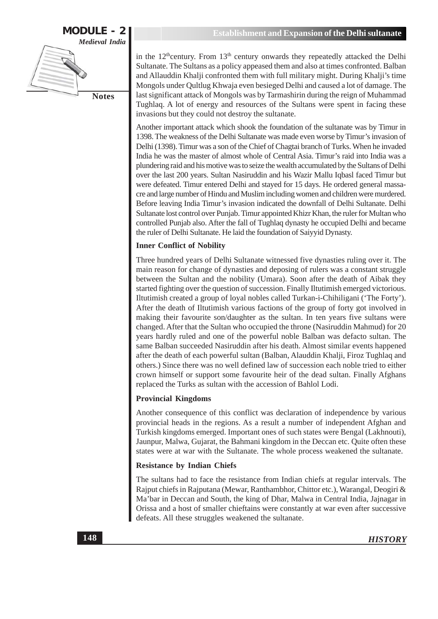

in the 12<sup>th</sup>century. From 13<sup>th</sup> century onwards they repeatedly attacked the Delhi Sultanate. The Sultans as a policy appeased them and also at times confronted. Balban and Allauddin Khalji confronted them with full military might. During Khalji's time Mongols under Qultlug Khwaja even besieged Delhi and caused a lot of damage. The last significant attack of Mongols was by Tarmashirin during the reign of Muhammad Tughlaq. A lot of energy and resources of the Sultans were spent in facing these invasions but they could not destroy the sultanate.

Another important attack which shook the foundation of the sultanate was by Timur in 1398. The weakness of the Delhi Sultanate was made even worse by Timur's invasion of Delhi (1398). Timur was a son of the Chief of Chagtai branch of Turks. When he invaded India he was the master of almost whole of Central Asia. Timur's raid into India was a plundering raid and his motive was to seize the wealth accumulated by the Sultans of Delhi over the last 200 years. Sultan Nasiruddin and his Wazir Mallu Iqbasl faced Timur but were defeated. Timur entered Delhi and stayed for 15 days. He ordered general massacre and large number of Hindu and Muslim including women and children were murdered. Before leaving India Timur's invasion indicated the downfall of Delhi Sultanate. Delhi Sultanate lost control over Punjab. Timur appointed Khizr Khan, the ruler for Multan who controlled Punjab also. After the fall of Tughlaq dynasty he occupied Delhi and became the ruler of Delhi Sultanate. He laid the foundation of Saiyyid Dynasty.

### **Inner Conflict of Nobility**

Three hundred years of Delhi Sultanate witnessed five dynasties ruling over it. The main reason for change of dynasties and deposing of rulers was a constant struggle between the Sultan and the nobility (Umara). Soon after the death of Aibak they started fighting over the question of succession. Finally Iltutimish emerged victorious. Iltutimish created a group of loyal nobles called Turkan-i-Chihiligani ('The Forty'). After the death of Iltutimish various factions of the group of forty got involved in making their favourite son/daughter as the sultan. In ten years five sultans were changed. After that the Sultan who occupied the throne (Nasiruddin Mahmud) for 20 years hardly ruled and one of the powerful noble Balban was defacto sultan. The same Balban succeeded Nasiruddin after his death. Almost similar events happened after the death of each powerful sultan (Balban, Alauddin Khalji, Firoz Tughlaq and others.) Since there was no well defined law of succession each noble tried to either crown himself or support some favourite heir of the dead sultan. Finally Afghans replaced the Turks as sultan with the accession of Bahlol Lodi.

### **Provincial Kingdoms**

Another consequence of this conflict was declaration of independence by various provincial heads in the regions. As a result a number of independent Afghan and Turkish kingdoms emerged. Important ones of such states were Bengal (Lakhnouti), Jaunpur, Malwa, Gujarat, the Bahmani kingdom in the Deccan etc. Quite often these states were at war with the Sultanate. The whole process weakened the sultanate.

### **Resistance by Indian Chiefs**

The sultans had to face the resistance from Indian chiefs at regular intervals. The Rajput chiefs in Rajputana (Mewar, Ranthambhor, Chittor etc.), Warangal, Deogiri & Ma'bar in Deccan and South, the king of Dhar, Malwa in Central India, Jajnagar in Orissa and a host of smaller chieftains were constantly at war even after successive defeats. All these struggles weakened the sultanate.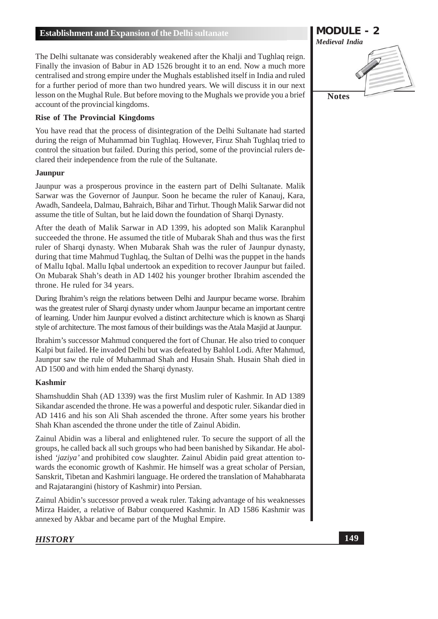The Delhi sultanate was considerably weakened after the Khalji and Tughlaq reign. Finally the invasion of Babur in AD 1526 brought it to an end. Now a much more centralised and strong empire under the Mughals established itself in India and ruled for a further period of more than two hundred years. We will discuss it in our next lesson on the Mughal Rule. But before moving to the Mughals we provide you a brief account of the provincial kingdoms.

### **Rise of The Provincial Kingdoms**

You have read that the process of disintegration of the Delhi Sultanate had started during the reign of Muhammad bin Tughlaq. However, Firuz Shah Tughlaq tried to control the situation but failed. During this period, some of the provincial rulers declared their independence from the rule of the Sultanate.

### **Jaunpur**

Jaunpur was a prosperous province in the eastern part of Delhi Sultanate. Malik Sarwar was the Governor of Jaunpur. Soon he became the ruler of Kanauj, Kara, Awadh, Sandeela, Dalmau, Bahraich, Bihar and Tirhut. Though Malik Sarwar did not assume the title of Sultan, but he laid down the foundation of Sharqi Dynasty.

After the death of Malik Sarwar in AD 1399, his adopted son Malik Karanphul succeeded the throne. He assumed the title of Mubarak Shah and thus was the first ruler of Sharqi dynasty. When Mubarak Shah was the ruler of Jaunpur dynasty, during that time Mahmud Tughlaq, the Sultan of Delhi was the puppet in the hands of Mallu Iqbal. Mallu Iqbal undertook an expedition to recover Jaunpur but failed. On Mubarak Shah's death in AD 1402 his younger brother Ibrahim ascended the throne. He ruled for 34 years.

During Ibrahim's reign the relations between Delhi and Jaunpur became worse. Ibrahim was the greatest ruler of Sharqi dynasty under whom Jaunpur became an important centre of learning. Under him Jaunpur evolved a distinct architecture which is known as Sharqi style of architecture. The most famous of their buildings was the Atala Masjid at Jaunpur.

Ibrahim's successor Mahmud conquered the fort of Chunar. He also tried to conquer Kalpi but failed. He invaded Delhi but was defeated by Bahlol Lodi. After Mahmud, Jaunpur saw the rule of Muhammad Shah and Husain Shah. Husain Shah died in AD 1500 and with him ended the Sharqi dynasty.

### **Kashmir**

Shamshuddin Shah (AD 1339) was the first Muslim ruler of Kashmir. In AD 1389 Sikandar ascended the throne. He was a powerful and despotic ruler. Sikandar died in AD 1416 and his son Ali Shah ascended the throne. After some years his brother Shah Khan ascended the throne under the title of Zainul Abidin.

Zainul Abidin was a liberal and enlightened ruler. To secure the support of all the groups, he called back all such groups who had been banished by Sikandar. He abolished 'jaziya' and prohibited cow slaughter. Zainul Abidin paid great attention towards the economic growth of Kashmir. He himself was a great scholar of Persian, Sanskrit, Tibetan and Kashmiri language. He ordered the translation of Mahabharata and Rajatarangini (history of Kashmir) into Persian.

Zainul Abidin's successor proved a weak ruler. Taking advantage of his weaknesses Mirza Haider, a relative of Babur conquered Kashmir. In AD 1586 Kashmir was annexed by Akbar and became part of the Mughal Empire.

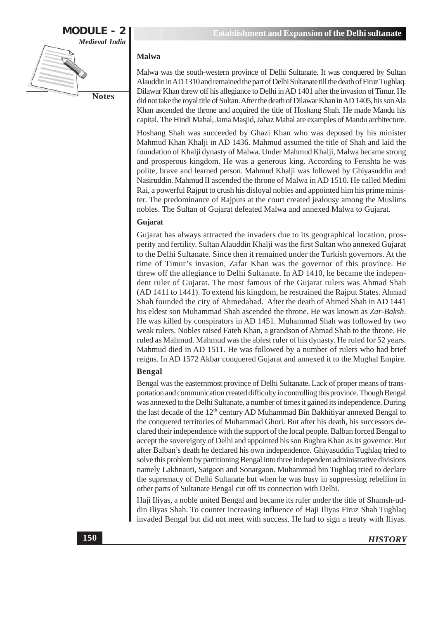

### **Malwa**

Malwa was the south-western province of Delhi Sultanate. It was conquered by Sultan Alauddin in AD 1310 and remained the part of Delhi Sultanate till the death of Firuz Tughlaq. Dilawar Khan threw off his allegiance to Delhi in AD 1401 after the invasion of Timur. He did not take the royal title of Sultan. After the death of Dilawar Khan in AD 1405, his son Ala Khan ascended the throne and acquired the title of Hoshang Shah. He made Mandu his capital. The Hindi Mahal, Jama Masjid, Jahaz Mahal are examples of Mandu architecture.

Hoshang Shah was succeeded by Ghazi Khan who was deposed by his minister Mahmud Khan Khalji in AD 1436. Mahmud assumed the title of Shah and laid the foundation of Khalji dynasty of Malwa. Under Mahmud Khalji, Malwa became strong and prosperous kingdom. He was a generous king. According to Ferishta he was polite, brave and learned person. Mahmud Khalji was followed by Ghiyasuddin and Nasiruddin. Mahmud II ascended the throne of Malwa in AD 1510. He called Medini Rai, a powerful Rajput to crush his disloyal nobles and appointed him his prime minister. The predominance of Rajputs at the court created jealousy among the Muslims nobles. The Sultan of Gujarat defeated Malwa and annexed Malwa to Gujarat.

### Gujarat

Gujarat has always attracted the invaders due to its geographical location, prosperity and fertility. Sultan Alauddin Khalji was the first Sultan who annexed Gujarat to the Delhi Sultanate. Since then it remained under the Turkish governors. At the time of Timur's invasion, Zafar Khan was the governor of this province. He threw off the allegiance to Delhi Sultanate. In AD 1410, he became the independent ruler of Gujarat. The most famous of the Gujarat rulers was Ahmad Shah (AD 1411 to 1441). To extend his kingdom, he restrained the Rajput States. Ahmad Shah founded the city of Ahmedabad. After the death of Ahmed Shah in AD 1441 his eldest son Muhammad Shah ascended the throne. He was known as Zar-Baksh. He was killed by conspirators in AD 1451. Muhammad Shah was followed by two weak rulers. Nobles raised Fateh Khan, a grandson of Ahmad Shah to the throne. He ruled as Mahmud. Mahmud was the ablest ruler of his dynasty. He ruled for 52 years. Mahmud died in AD 1511. He was followed by a number of rulers who had brief reigns. In AD 1572 Akbar conquered Gujarat and annexed it to the Mughal Empire.

### **Bengal**

Bengal was the easternmost province of Delhi Sultanate. Lack of proper means of transportation and communication created difficulty in controlling this province. Though Bengal was annexed to the Delhi Sultanate, a number of times it gained its independence. During the last decade of the 12<sup>th</sup> century AD Muhammad Bin Bakhitiyar annexed Bengal to the conquered territories of Muhammad Ghori. But after his death, his successors declared their independence with the support of the local people. Balban forced Bengal to accept the sovereignty of Delhi and appointed his son Bughra Khan as its governor. But after Balban's death he declared his own independence. Ghiyasuddin Tughlaq tried to solve this problem by partitioning Bengal into three independent administrative divisions namely Lakhnauti, Satgaon and Sonargaon. Muhammad bin Tughlaq tried to declare the supremacy of Delhi Sultanate but when he was busy in suppressing rebellion in other parts of Sultanate Bengal cut off its connection with Delhi.

Haji Iliyas, a noble united Bengal and became its ruler under the title of Shamsh-uddin Iliyas Shah. To counter increasing influence of Haji Iliyas Firuz Shah Tughlaq invaded Bengal but did not meet with success. He had to sign a treaty with Iliyas.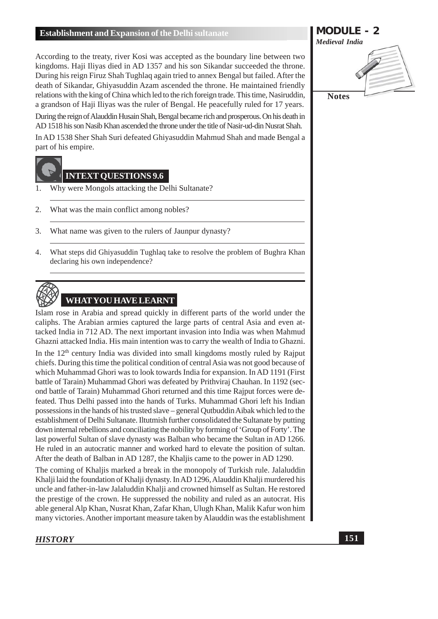According to the treaty, river Kosi was accepted as the boundary line between two kingdoms. Haji Iliyas died in AD 1357 and his son Sikandar succeeded the throne. During his reign Firuz Shah Tughlaq again tried to annex Bengal but failed. After the death of Sikandar, Ghiyasuddin Azam ascended the throne. He maintained friendly relations with the king of China which led to the rich foreign trade. This time, Nasiruddin, a grandson of Haji Iliyas was the ruler of Bengal. He peacefully ruled for 17 years.

During the reign of Alauddin Husain Shah, Bengal became rich and prosperous. On his death in AD 1518 his son Nasib Khan ascended the throne under the title of Nasir-ud-din Nusrat Shah.

In AD 1538 Sher Shah Suri defeated Ghiyasuddin Mahmud Shah and made Bengal a part of his empire.

# **INTEXT QUESTIONS 9.6**

- Why were Mongols attacking the Delhi Sultanate?  $\mathbf{1}$
- 2. What was the main conflict among nobles?
- $\overline{3}$ . What name was given to the rulers of Jaunpur dynasty?
- What steps did Ghiyasuddin Tughlaq take to resolve the problem of Bughra Khan  $4.$ declaring his own independence?



Islam rose in Arabia and spread quickly in different parts of the world under the caliphs. The Arabian armies captured the large parts of central Asia and even attacked India in 712 AD. The next important invasion into India was when Mahmud Ghazni attacked India. His main intention was to carry the wealth of India to Ghazni.

In the 12<sup>th</sup> century India was divided into small kingdoms mostly ruled by Rajput chiefs. During this time the political condition of central Asia was not good because of which Muhammad Ghori was to look towards India for expansion. In AD 1191 (First battle of Tarain) Muhammad Ghori was defeated by Prithviraj Chauhan. In 1192 (second battle of Tarain) Muhammad Ghori returned and this time Raiput forces were defeated. Thus Delhi passed into the hands of Turks. Muhammad Ghori left his Indian possessions in the hands of his trusted slave – general Qutbuddin Aibak which led to the establishment of Delhi Sultanate. Iltutmish further consolidated the Sultanate by putting down internal rebellions and conciliating the nobility by forming of 'Group of Forty'. The last powerful Sultan of slave dynasty was Balban who became the Sultan in AD 1266. He ruled in an autocratic manner and worked hard to elevate the position of sultan. After the death of Balban in AD 1287, the Khaljis came to the power in AD 1290.

The coming of Khaljis marked a break in the monopoly of Turkish rule. Jalaluddin Khalji laid the foundation of Khalji dynasty. In AD 1296, Alauddin Khalji murdered his uncle and father-in-law Jalaluddin Khalji and crowned himself as Sultan. He restored the prestige of the crown. He suppressed the nobility and ruled as an autocrat. His able general Alp Khan, Nusrat Khan, Zafar Khan, Ulugh Khan, Malik Kafur won him many victories. Another important measure taken by Alauddin was the establishment

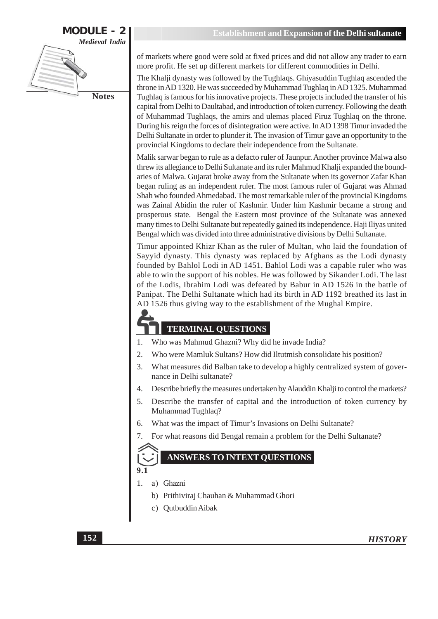

of markets where good were sold at fixed prices and did not allow any trader to earn more profit. He set up different markets for different commodities in Delhi.

The Khalji dynasty was followed by the Tughlaqs. Ghiyasuddin Tughlaq ascended the throne in AD 1320. He was succeeded by Muhammad Tughlaq in AD 1325. Muhammad Tughlaq is famous for his innovative projects. These projects included the transfer of his capital from Delhi to Daultabad, and introduction of token currency. Following the death of Muhammad Tughlaqs, the amirs and ulemas placed Firuz Tughlaq on the throne. During his reign the forces of disintegration were active. In AD 1398 Timur invaded the Delhi Sultanate in order to plunder it. The invasion of Timur gave an opportunity to the provincial Kingdoms to declare their independence from the Sultanate.

Malik sarwar began to rule as a defacto ruler of Jaunpur. Another province Malwa also threw its allegiance to Delhi Sultanate and its ruler Mahmud Khalji expanded the boundaries of Malwa. Gujarat broke away from the Sultanate when its governor Zafar Khan began ruling as an independent ruler. The most famous ruler of Gujarat was Ahmad Shah who founded Ahmedabad. The most remarkable ruler of the provincial Kingdoms was Zainal Abidin the ruler of Kashmir. Under him Kashmir became a strong and prosperous state. Bengal the Eastern most province of the Sultanate was annexed many times to Delhi Sultanate but repeatedly gained its independence. Haji Iliyas united Bengal which was divided into three administrative divisions by Delhi Sultanate.

Timur appointed Khizr Khan as the ruler of Multan, who laid the foundation of Sayyid dynasty. This dynasty was replaced by Afghans as the Lodi dynasty founded by Bahlol Lodi in AD 1451. Bahlol Lodi was a capable ruler who was able to win the support of his nobles. He was followed by Sikander Lodi. The last of the Lodis, Ibrahim Lodi was defeated by Babur in AD 1526 in the battle of Panipat. The Delhi Sultanate which had its birth in AD 1192 breathed its last in AD 1526 thus giving way to the establishment of the Mughal Empire.

# **TERMINAL QUESTIONS**

- Who was Mahmud Ghazni? Why did he invade India? 1.
- Who were Mamluk Sultans? How did Iltutmish consolidate his position? 2.
- $\overline{3}$ . What measures did Balban take to develop a highly centralized system of governance in Delhi sultanate?
- Describe briefly the measures undertaken by Alauddin Khalji to control the markets?  $\overline{4}$ .
- $5<sub>1</sub>$ Describe the transfer of capital and the introduction of token currency by Muhammad Tughlaq?
- What was the impact of Timur's Invasions on Delhi Sultanate? 6.
- For what reasons did Bengal remain a problem for the Delhi Sultanate? 7.

### **ANSWERS TO INTEXT OUESTIONS**

- $1<sub>1</sub>$ a) Ghazni
	- b) Prithiviraj Chauhan & Muhammad Ghori
	- c) Qutbuddin Aibak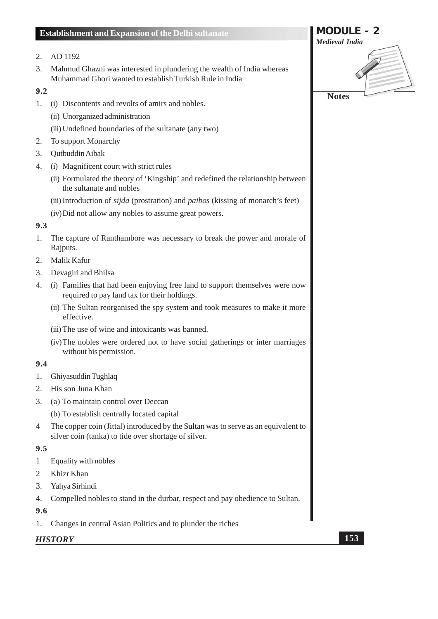### 2. AD 1192

 $3.$ Mahmud Ghazni was interested in plundering the wealth of India whereas Muhammad Ghori wanted to establish Turkish Rule in India

### $9.2$

- 1. (i) Discontents and revolts of amirs and nobles.
	- (ii) Unorganized administration
	- (iii) Undefined boundaries of the sultanate (any two)
- $2.$ **To support Monarchy**
- 3. Qutbuddin Aibak
- 4. (i) Magnificent court with strict rules
	- (ii) Formulated the theory of 'Kingship' and redefined the relationship between the sultanate and nobles
	- (iii) Introduction of *sijda* (prostration) and *paibos* (kissing of monarch's feet)
	- (iv) Did not allow any nobles to assume great powers.

### $9.3$

- The capture of Ranthambore was necessary to break the power and morale of  $1.$ Raiputs.
- 2. Malik Kafur
- 3. Devagiri and Bhilsa
- 4. (i) Families that had been enjoying free land to support themselves were now required to pay land tax for their holdings.
	- (ii) The Sultan reorganised the spy system and took measures to make it more effective.
	- (iii) The use of wine and intoxicants was banned.
	- (iv) The nobles were ordered not to have social gatherings or inter marriages without his permission.

### $9.4$

- 1. Ghiyasuddin Tughlaq
- 2. His son Juna Khan
- 3. (a) To maintain control over Deccan
	- (b) To establish centrally located capital
- The copper coin (Jittal) introduced by the Sultan was to serve as an equivalent to  $\overline{4}$ silver coin (tanka) to tide over shortage of silver.

### $9.5$

- Equality with nobles  $\mathbf{1}$
- $\overline{2}$ Khizr Khan
- $3.$ Yahya Sirhindi
- $4.$ Compelled nobles to stand in the durbar, respect and pay obedience to Sultan.
- 9.6
- Changes in central Asian Politics and to plunder the riches 1.